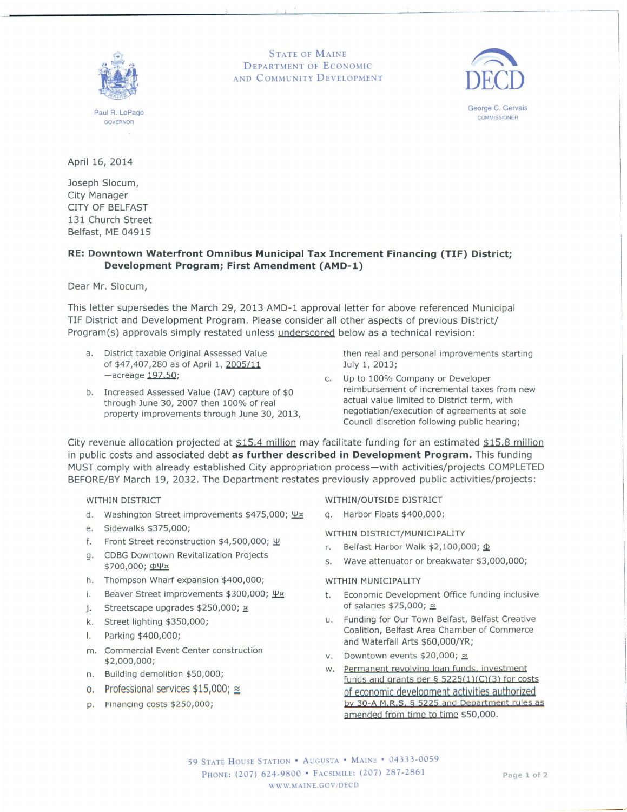

Paul R.LePage **GOVERNOR** 

STATE OF MAINE DEPARTMENT OF ECONOMIC AND COMMUNITY DEVELOPMENT



George C. Gervais **COMMISSIONER** 

April 16, 2014

Joseph Slocum, City Manager CITY OF BELFAST 131 Church Street Belfast, ME 04915

## **RE: Downtown Waterfront Omnibus Municipal Tax Increment Financing (TIF) District; Development Program; First Amendment (AMD-l)**

Dear Mr. Slocum,

This letter supersedes the March 29, 2013 AMD-1 approval letter for above referenced Municipal TIF District and Development Program. Please consider all other aspects of previous District/ Program(s) approvals simply restated unless underscored below as a technical revision:

- a. District taxable Original Assessed Value of \$47,407,280 as of April 1, *2005/11*   $-$ acreage  $197.50$ ;
- b. Increased Assessed Value (IAV) capture of \$0 through June 30, 2007 then 100% of real property improvements through June 30, 2013,

then real and personal improvements starting July 1, 2013;

c. Up to 100% Company or Developer reimbursement of incremental taxes from new actual value limited to District term, with negotiation/execution of agreements at sole Council discretion following public hearing;

City revenue allocation projected at  $$15.4$  million may facilitate funding for an estimated  $$15.8$  million in public costs and associated debt **as further described in Development Program.** This funding MUST comply with already established City appropriation process-with activities/projects COMPLETED BEFORE/BY March 19, 2032. The Department restates previously approved public activities/projects:

## WITHIN DISTRICT

- d. Washington Street improvements \$475,000; \px
- e. Sidewalks \$375,000;
- f. Front Street reconstruction  $$4,500,000$ ;  $\Psi$
- g. CDBG Downtown Revitalization Projects  $$700,000;$   $\Phi\Psi x$
- h. Thompson Wharf expansion \$400,000;
- i. Beaver Street improvements  $$300,000; \Psi \times$
- j. Streetscape upgrades  $$250,000;$   $\times$
- k. Street lighting \$350,000;
- I. Parking \$400,000;
- m. Commercial Event Center construction \$2,000,000;
- n. Building demolition \$50,000;
- 0. Professional services  $$15,000$ ;  $\approx$
- p. Financing costs \$250,000;

WITHIN/OUTSIDE DISTRICT

q. Harbor Floats \$400,000;

WITHIN DISTRICT/MUNICIPALITY

- r. Belfast Harbor Walk  $$2,100,000$ ;  $\Phi$
- s. Wave attenuator or breakwater \$3,000,000;

## WITHIN MUNICIPALITY

- t. Economic Development Office funding inclusive of salaries  $$75,000;$   $\approx$
- u. Funding for Our Town Belfast, Belfast Creative Coalition, Belfast Area Chamber of Commerce and Waterfall Arts \$60,000/YR;
- v. Downtown events  $$20,000$ ;  $\approx$
- w. Permanent revolving loan funds, investment funds and grants per  $\S$  5225(1)(C)(3) for costs of economic deyelopment activities authorized by 30-A M.R.S. § 5225 and Department rules as amended from time to time \$50,000.

59 STATE HOUSE STATION ' AUGUSTA ' MAINE ' 04333-0059 PHONE: (207) 624-9800 • FACSIMILE: (207) 287-2861 WW.MAINE.GOV/DECD